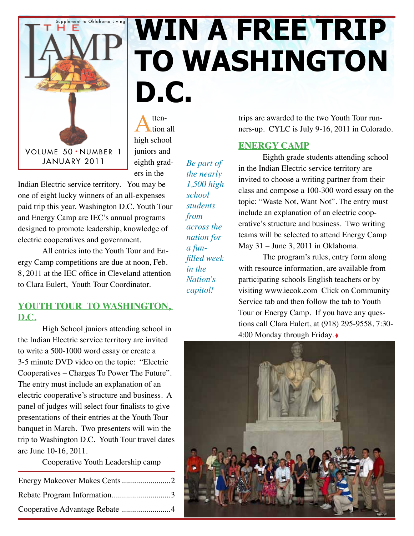

# Supplement to Oklahoma Living **WIN A FREE TRIP to Washington D.C.**

Attenhigh school juniors and eighth graders in the

*Be part of the nearly 1,500 high school students from* 

*across the nation for a funfilled week in the Nation's capitol!* 

Indian Electric service territory. You may be one of eight lucky winners of an all-expenses paid trip this year. Washington D.C. Youth Tour and Energy Camp are IEC's annual programs designed to promote leadership, knowledge of electric cooperatives and government.

All entries into the Youth Tour and Energy Camp competitions are due at noon, Feb. 8, 2011 at the IEC office in Cleveland attention to Clara Eulert, Youth Tour Coordinator.

### YOUTH TOUR TO WASHINGTON, **D.C.**

High School juniors attending school in the Indian Electric service territory are invited to write a 500-1000 word essay or create a 3-5 minute DVD video on the topic: "Electric Cooperatives – Charges To Power The Future". The entry must include an explanation of an electric cooperative's structure and business. A panel of judges will select four finalists to give presentations of their entries at the Youth Tour banquet in March. Two presenters will win the trip to Washington D.C. Youth Tour travel dates are June 10-16, 2011.

Cooperative Youth Leadership camp

| Rebate Program Information3    |  |
|--------------------------------|--|
| Cooperative Advantage Rebate 4 |  |

trips are awarded to the two Youth Tour runners-up. CYLC is July 9-16, 2011 in Colorado.

### **ENERGY CAMP**

Eighth grade students attending school in the Indian Electric service territory are invited to choose a writing partner from their class and compose a 100-300 word essay on the topic: "Waste Not, Want Not". The entry must include an explanation of an electric cooperative's structure and business. Two writing teams will be selected to attend Energy Camp May 31 – June 3, 2011 in Oklahoma.

The program's rules, entry form along with resource information, are available from participating schools English teachers or by visiting www.iecok.com Click on Community Service tab and then follow the tab to Youth Tour or Energy Camp. If you have any questions call Clara Eulert, at (918) 295-9558, 7:30- 4:00 Monday through Friday. ◊

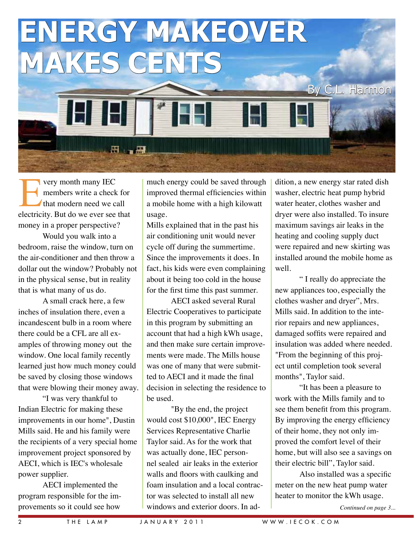

very month many IEC members write a check for that modern need we call electricity. But do we ever see that money in a proper perspective?

Would you walk into a bedroom, raise the window, turn on the air-conditioner and then throw a dollar out the window? Probably not in the physical sense, but in reality that is what many of us do.

A small crack here, a few inches of insulation there, even a incandescent bulb in a room where there could be a CFL are all examples of throwing money out the window. One local family recently learned just how much money could be saved by closing those windows that were blowing their money away.

"I was very thankful to Indian Electric for making these improvements in our home", Dustin Mills said. He and his family were the recipients of a very special home improvement project sponsored by AECI, which is IEC's wholesale power supplier.

AECI implemented the program responsible for the improvements so it could see how

much energy could be saved through improved thermal efficiencies within a mobile home with a high kilowatt usage.

Mills explained that in the past his air conditioning unit would never cycle off during the summertime. Since the improvements it does. In fact, his kids were even complaining about it being too cold in the house for the first time this past summer.

AECI asked several Rural Electric Cooperatives to participate in this program by submitting an account that had a high kWh usage, and then make sure certain improvements were made. The Mills house was one of many that were submitted to AECI and it made the final decision in selecting the residence to be used.

"By the end, the project would cost \$10,000", IEC Energy Services Representative Charlie Taylor said. As for the work that was actually done, IEC personnel sealed air leaks in the exterior walls and floors with caulking and foam insulation and a local contractor was selected to install all new windows and exterior doors. In addition, a new energy star rated dish washer, electric heat pump hybrid water heater, clothes washer and dryer were also installed. To insure maximum savings air leaks in the heating and cooling supply duct were repaired and new skirting was installed around the mobile home as well.

" I really do appreciate the new appliances too, especially the clothes washer and dryer", Mrs. Mills said. In addition to the interior repairs and new appliances, damaged soffits were repaired and insulation was added where needed. "From the beginning of this project until completion took several months", Taylor said.

"It has been a pleasure to work with the Mills family and to see them benefit from this program. By improving the energy efficiency of their home, they not only improved the comfort level of their home, but will also see a savings on their electric bill", Taylor said.

Also installed was a specific meter on the new heat pump water heater to monitor the kWh usage.

*Continued on page 3...*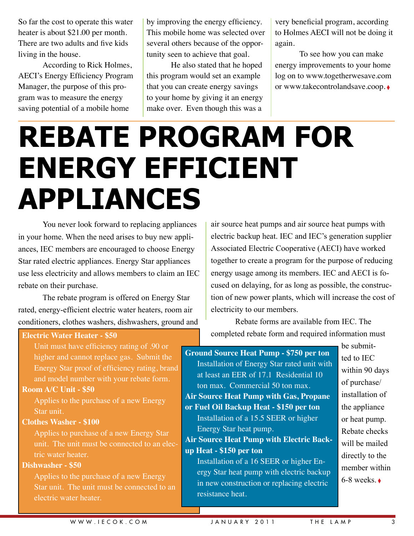So far the cost to operate this water heater is about \$21.00 per month. There are two adults and five kids living in the house.

According to Rick Holmes, AECI's Energy Efficiency Program Manager, the purpose of this program was to measure the energy saving potential of a mobile home

by improving the energy efficiency. This mobile home was selected over several others because of the opportunity seen to achieve that goal.

He also stated that he hoped this program would set an example that you can create energy savings to your home by giving it an energy make over. Even though this was a

very beneficial program, according to Holmes AECI will not be doing it again.

To see how you can make energy improvements to your home log on to www.togetherwesave.com or www.takecontrolandsave.coop. ◊

# **Rebate Program for Energy Efficient Appliances**

You never look forward to replacing appliances in your home. When the need arises to buy new appliances, IEC members are encouraged to choose Energy Star rated electric appliances. Energy Star appliances use less electricity and allows members to claim an IEC rebate on their purchase.

The rebate program is offered on Energy Star rated, energy-efficient electric water heaters, room air conditioners, clothes washers, dishwashers, ground and

### **Electric Water Heater - \$50**

Unit must have efficiency rating of .90 or higher and cannot replace gas. Submit the Energy Star proof of efficiency rating, brand and model number with your rebate form.

#### **Room A/C Unit - \$50**

Applies to the purchase of a new Energy Star unit.

#### **Clothes Washer - \$100**

Applies to purchase of a new Energy Star unit. The unit must be connected to an electric water heater.

#### **Dishwasher - \$50**

Applies to the purchase of a new Energy Star unit. The unit must be connected to an electric water heater.

air source heat pumps and air source heat pumps with electric backup heat. IEC and IEC's generation supplier Associated Electric Cooperative (AECI) have worked together to create a program for the purpose of reducing energy usage among its members. IEC and AECI is focused on delaying, for as long as possible, the construction of new power plants, which will increase the cost of electricity to our members.

Rebate forms are available from IEC. The completed rebate form and required information must

**Ground Source Heat Pump - \$750 per ton** Installation of Energy Star rated unit with at least an EER of 17.1 Residential 10 ton max. Commercial 50 ton max. **Air Source Heat Pump with Gas, Propane or Fuel Oil Backup Heat - \$150 per ton** Installation of a 15.5 SEER or higher Energy Star heat pump. **Air Source Heat Pump with Electric Backup Heat - \$150 per ton** Installation of a 16 SEER or higher Energy Star heat pump with electric backup in new construction or replacing electric resistance heat.

be submitted to IEC within 90 days of purchase/ installation of the appliance or heat pump. Rebate checks will be mailed directly to the member within  $6-8$  weeks  $\triangle$